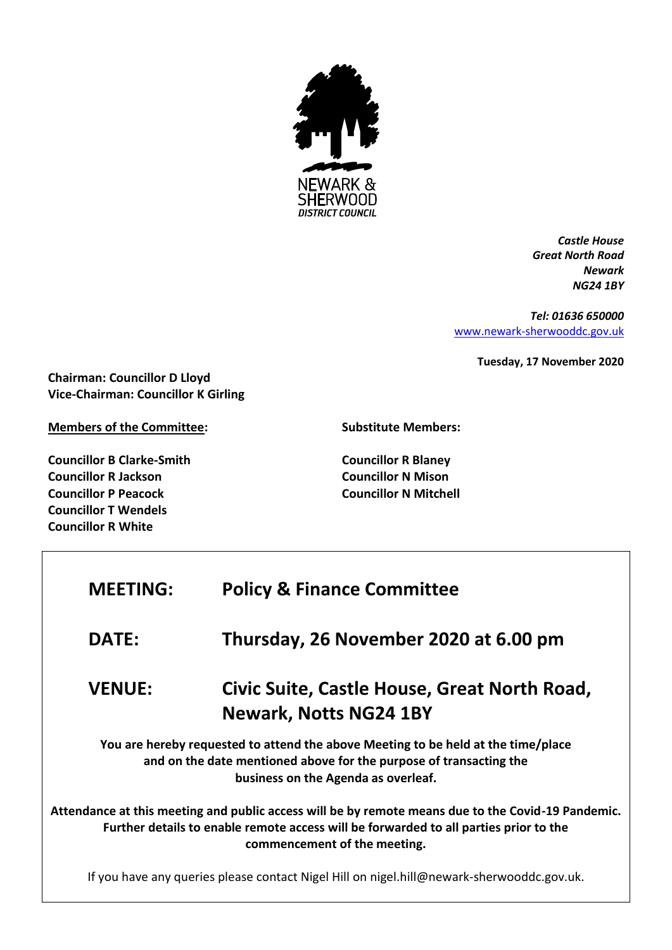

*Castle House Great North Road Newark NG24 1BY*

*Tel: 01636 650000* [www.newark-sherwooddc.gov.uk](http://www.newark-sherwooddc.gov.uk/)

**Tuesday, 17 November 2020**

**Chairman: Councillor D Lloyd Vice-Chairman: Councillor K Girling**

**Members of the Committee:**

**Councillor B Clarke-Smith Councillor R Jackson Councillor P Peacock Councillor T Wendels Councillor R White**

**Substitute Members:**

**Councillor R Blaney Councillor N Mison Councillor N Mitchell**

| <b>MEETING:</b> | <b>Policy &amp; Finance Committee</b>                                                                                                                                                                                       |
|-----------------|-----------------------------------------------------------------------------------------------------------------------------------------------------------------------------------------------------------------------------|
| <b>DATE:</b>    | Thursday, 26 November 2020 at 6.00 pm                                                                                                                                                                                       |
| <b>VENUE:</b>   | Civic Suite, Castle House, Great North Road,<br><b>Newark, Notts NG24 1BY</b>                                                                                                                                               |
|                 | You are hereby requested to attend the above Meeting to be held at the time/place<br>and on the date mentioned above for the purpose of transacting the<br>business on the Agenda as overleaf.                              |
|                 | Attendance at this meeting and public access will be by remote means due to the Covid-19 Pandemic.<br>Further details to enable remote access will be forwarded to all parties prior to the<br>commencement of the meeting. |
|                 | If you have any queries please contact Nigel Hill on nigel.hill@newark-sherwooddc.gov.uk.                                                                                                                                   |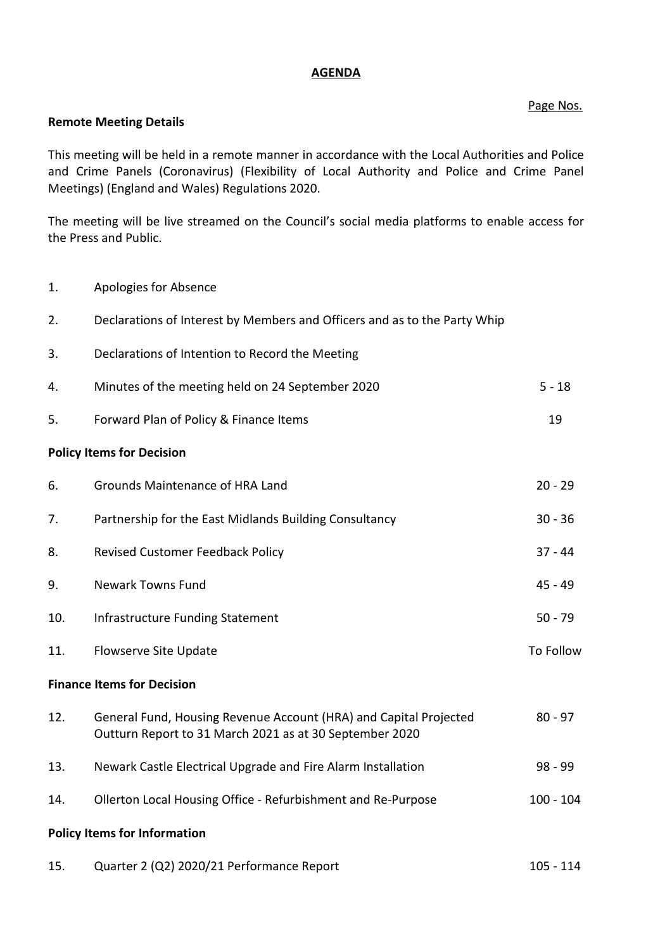## **AGENDA**

# Page Nos.

## **Remote Meeting Details**

This meeting will be held in a remote manner in accordance with the Local Authorities and Police and Crime Panels (Coronavirus) (Flexibility of Local Authority and Police and Crime Panel Meetings) (England and Wales) Regulations 2020.

The meeting will be live streamed on the Council's social media platforms to enable access for the Press and Public.

- 1. Apologies for Absence
- 2. Declarations of Interest by Members and Officers and as to the Party Whip
- 3. Declarations of Intention to Record the Meeting

| 4.                                  | Minutes of the meeting held on 24 September 2020                                                                             | $5 - 18$    |  |
|-------------------------------------|------------------------------------------------------------------------------------------------------------------------------|-------------|--|
| 5.                                  | Forward Plan of Policy & Finance Items                                                                                       | 19          |  |
| <b>Policy Items for Decision</b>    |                                                                                                                              |             |  |
| 6.                                  | Grounds Maintenance of HRA Land                                                                                              | $20 - 29$   |  |
| 7.                                  | Partnership for the East Midlands Building Consultancy                                                                       | $30 - 36$   |  |
| 8.                                  | <b>Revised Customer Feedback Policy</b>                                                                                      | $37 - 44$   |  |
| 9.                                  | <b>Newark Towns Fund</b>                                                                                                     | $45 - 49$   |  |
| 10.                                 | <b>Infrastructure Funding Statement</b>                                                                                      | $50 - 79$   |  |
| 11.                                 | Flowserve Site Update                                                                                                        | To Follow   |  |
| <b>Finance Items for Decision</b>   |                                                                                                                              |             |  |
| 12.                                 | General Fund, Housing Revenue Account (HRA) and Capital Projected<br>Outturn Report to 31 March 2021 as at 30 September 2020 | $80 - 97$   |  |
| 13.                                 | Newark Castle Electrical Upgrade and Fire Alarm Installation                                                                 | $98 - 99$   |  |
| 14.                                 | Ollerton Local Housing Office - Refurbishment and Re-Purpose                                                                 | $100 - 104$ |  |
| <b>Policy Items for Information</b> |                                                                                                                              |             |  |

15. Quarter 2 (Q2) 2020/21 Performance Report 105 - 105 - 114